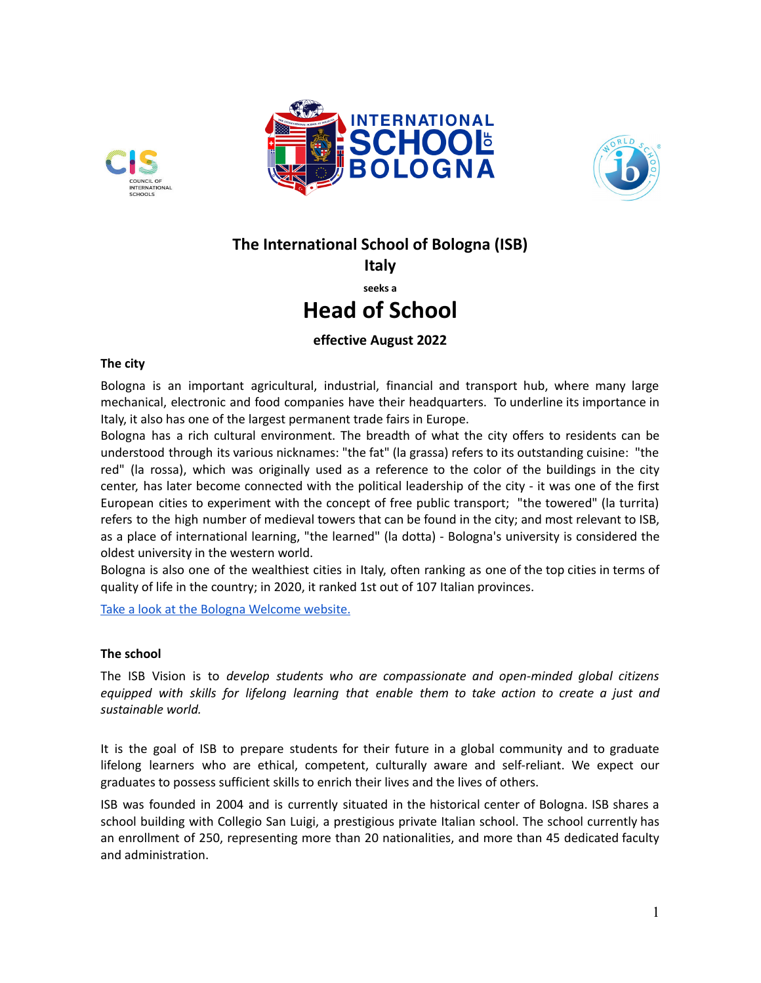





# **The International School of Bologna (ISB)**

**Italy**

**seeks a**

## **Head of School**

### **effective August 2022**

#### **The city**

Bologna is an important agricultural, industrial, financial and transport hub, where many large mechanical, electronic and food companies have their headquarters. To underline its importance in Italy, it also has one of the largest permanent trade fairs in Europe.

Bologna has a rich cultural environment. The breadth of what the city offers to residents can be understood through its various nicknames: "the fat" (la grassa) refers to its outstanding cuisine: "the red" (la rossa), which was originally used as a reference to the color of the buildings in the city center, has later become connected with the political leadership of the city - it was one of the first European cities to experiment with the concept of free public [transport](https://en.wikipedia.org/wiki/Free_public_transport); "the towered" (la turrita) refers to the high number of medieval towers that can be found in the city; and most relevant to ISB, as a place of international learning, "the learned" (la dotta) - Bologna's [university](https://en.wikipedia.org/wiki/University_of_Bologna) is considered the oldest university in the western world.

Bologna is also one of the wealthiest cities in Italy, often ranking as one of the top cities in terms of quality of life in the country; in 2020, it ranked 1st out of 107 Italian provinces.

Take a look at the Bologna [Welcome](https://www.bolognawelcome.com/en) website.

#### **The school**

The ISB Vision is to *develop students who are compassionate and open-minded global citizens equipped with skills for lifelong learning that enable them to take action to create a just and sustainable world.*

It is the goal of ISB to prepare students for their future in a global community and to graduate lifelong learners who are ethical, competent, culturally aware and self-reliant. We expect our graduates to possess sufficient skills to enrich their lives and the lives of others.

ISB was founded in 2004 and is currently situated in the historical center of Bologna. ISB shares a school building with Collegio San Luigi, a prestigious private Italian school. The school currently has an enrollment of 250, representing more than 20 nationalities, and more than 45 dedicated faculty and administration.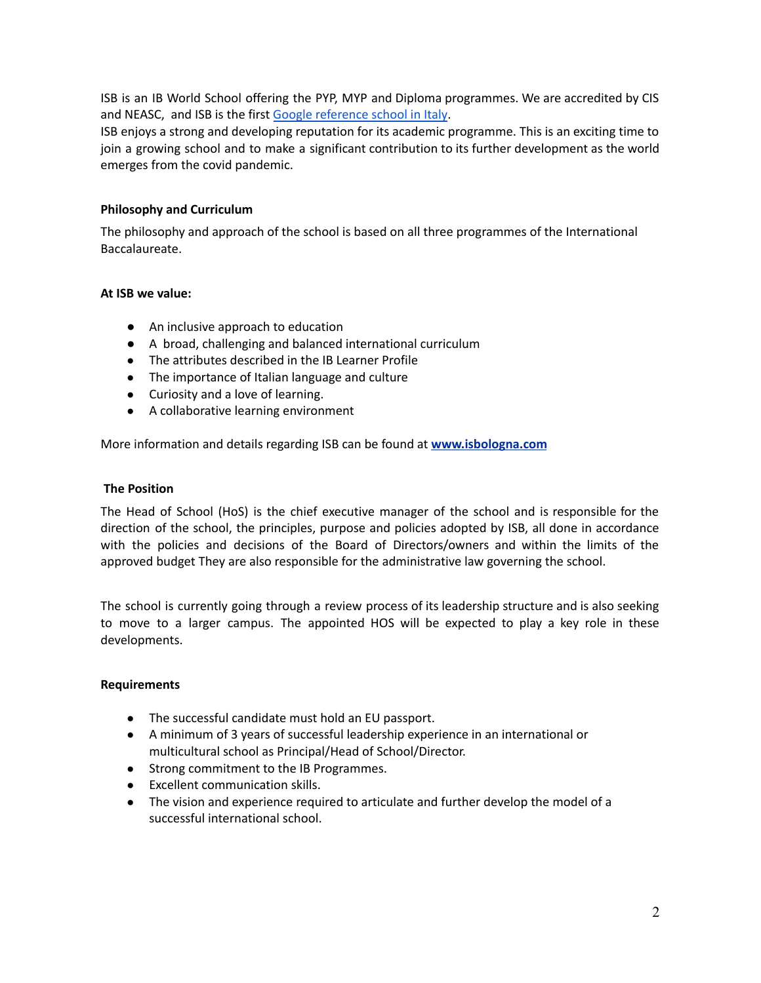ISB is an IB World School offering the PYP, MYP and Diploma programmes. We are accredited by CIS and NEASC, and ISB is the first Google [reference](https://edudirectory.withgoogle.com/profiles/6205234554601472) school in Italy.

ISB enjoys a strong and developing reputation for its academic programme. This is an exciting time to join a growing school and to make a significant contribution to its further development as the world emerges from the covid pandemic.

#### **Philosophy and Curriculum**

The philosophy and approach of the school is based on all three programmes of the International Baccalaureate.

#### **At ISB we value:**

- An inclusive approach to education
- A broad, challenging and balanced international curriculum
- The attributes described in the IB Learner Profile
- The importance of Italian language and culture
- Curiosity and a love of learning.
- A collaborative learning environment

More information and details regarding ISB can be found at **[www.isbologna.com](http://www.isbologna.com)**

#### **The Position**

The Head of School (HoS) is the chief executive manager of the school and is responsible for the direction of the school, the principles, purpose and policies adopted by ISB, all done in accordance with the policies and decisions of the Board of Directors/owners and within the limits of the approved budget They are also responsible for the administrative law governing the school.

The school is currently going through a review process of its leadership structure and is also seeking to move to a larger campus. The appointed HOS will be expected to play a key role in these developments.

#### **Requirements**

- The successful candidate must hold an EU passport.
- A minimum of 3 years of successful leadership experience in an international or multicultural school as Principal/Head of School/Director.
- Strong commitment to the IB Programmes.
- Excellent communication skills.
- The vision and experience required to articulate and further develop the model of a successful international school.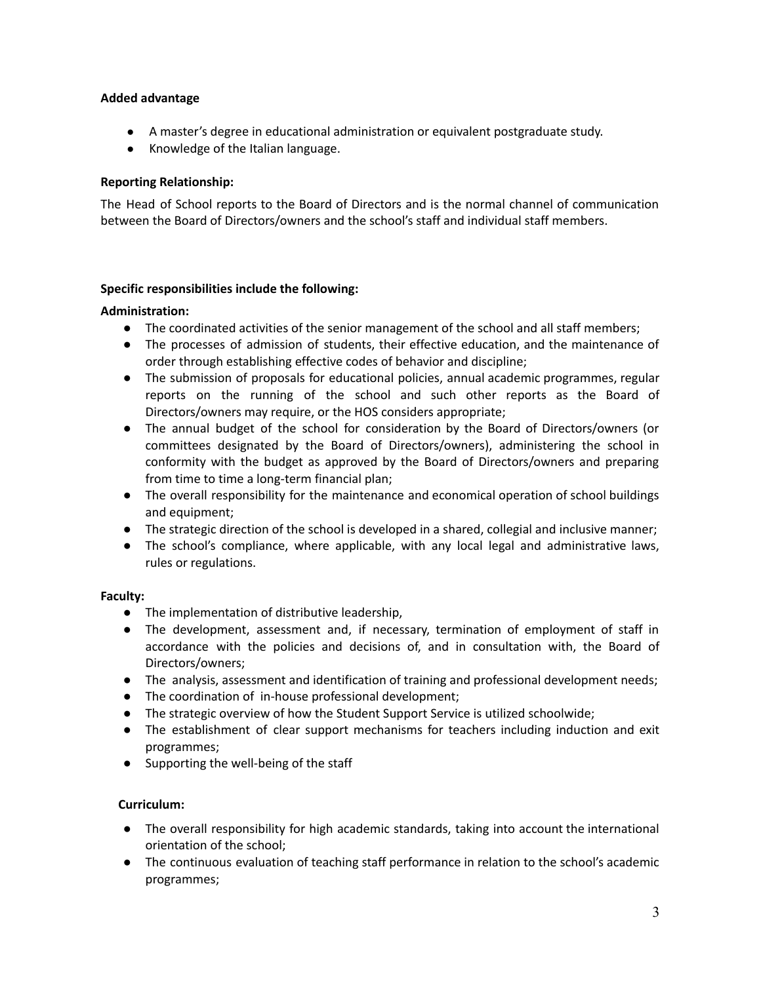#### **Added advantage**

- A master's degree in educational administration or equivalent postgraduate study.
- Knowledge of the Italian language.

#### **Reporting Relationship:**

The Head of School reports to the Board of Directors and is the normal channel of communication between the Board of Directors/owners and the school's staff and individual staff members.

#### **Specific responsibilities include the following:**

#### **Administration:**

- The coordinated activities of the senior management of the school and all staff members;
- The processes of admission of students, their effective education, and the maintenance of order through establishing effective codes of behavior and discipline;
- The submission of proposals for educational policies, annual academic programmes, regular reports on the running of the school and such other reports as the Board of Directors/owners may require, or the HOS considers appropriate;
- The annual budget of the school for consideration by the Board of Directors/owners (or committees designated by the Board of Directors/owners), administering the school in conformity with the budget as approved by the Board of Directors/owners and preparing from time to time a long-term financial plan;
- The overall responsibility for the maintenance and economical operation of school buildings and equipment;
- The strategic direction of the school is developed in a shared, collegial and inclusive manner;
- The school's compliance, where applicable, with any local legal and administrative laws, rules or regulations.

#### **Faculty:**

- The implementation of distributive leadership,
- The development, assessment and, if necessary, termination of employment of staff in accordance with the policies and decisions of, and in consultation with, the Board of Directors/owners;
- The analysis, assessment and identification of training and professional development needs;
- The coordination of in-house professional development;
- The strategic overview of how the Student Support Service is utilized schoolwide;
- The establishment of clear support mechanisms for teachers including induction and exit programmes;
- Supporting the well-being of the staff

#### **Curriculum:**

- The overall responsibility for high academic standards, taking into account the international orientation of the school;
- The continuous evaluation of teaching staff performance in relation to the school's academic programmes;